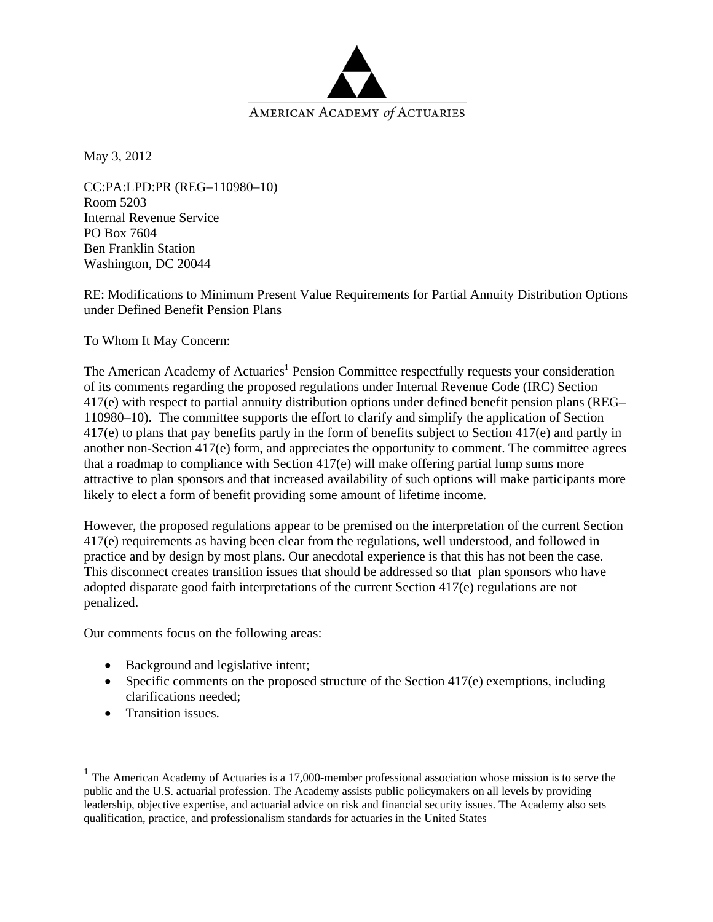

May 3, 2012

CC:PA:LPD:PR (REG–110980–10) Room 5203 Internal Revenue Service PO Box 7604 Ben Franklin Station Washington, DC 20044

RE: Modifications to Minimum Present Value Requirements for Partial Annuity Distribution Options under Defined Benefit Pension Plans

To Whom It May Concern:

The American Academy of Actuaries<sup>1</sup> Pension Committee respectfully requests your consideration of its comments regarding the proposed regulations under Internal Revenue Code (IRC) Section 417(e) with respect to partial annuity distribution options under defined benefit pension plans (REG– 110980–10). The committee supports the effort to clarify and simplify the application of Section 417(e) to plans that pay benefits partly in the form of benefits subject to Section 417(e) and partly in another non-Section 417(e) form, and appreciates the opportunity to comment. The committee agrees that a roadmap to compliance with Section  $417(e)$  will make offering partial lump sums more attractive to plan sponsors and that increased availability of such options will make participants more likely to elect a form of benefit providing some amount of lifetime income.

However, the proposed regulations appear to be premised on the interpretation of the current Section 417(e) requirements as having been clear from the regulations, well understood, and followed in practice and by design by most plans. Our anecdotal experience is that this has not been the case. This disconnect creates transition issues that should be addressed so that plan sponsors who have adopted disparate good faith interpretations of the current Section 417(e) regulations are not penalized.

Our comments focus on the following areas:

- Background and legislative intent;
- Specific comments on the proposed structure of the Section  $417(e)$  exemptions, including clarifications needed;
- Transition issues.

 $\overline{a}$ 

 $1$  The American Academy of Actuaries is a 17,000-member professional association whose mission is to serve the public and the U.S. actuarial profession. The Academy assists public policymakers on all levels by providing leadership, objective expertise, and actuarial advice on risk and financial security issues. The Academy also sets qualification, practice, and professionalism standards for actuaries in the United States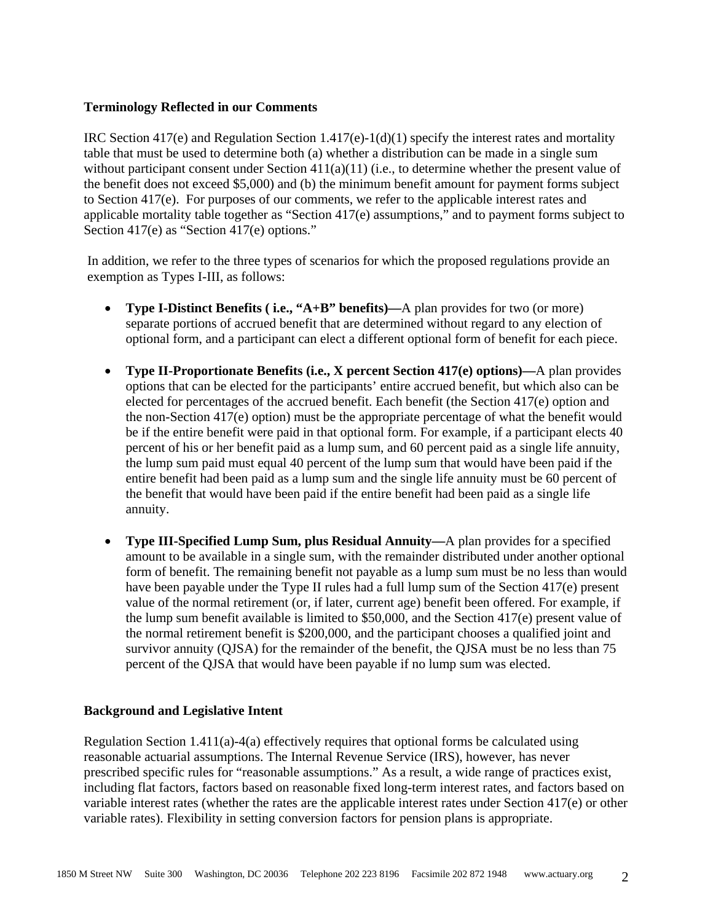## **Terminology Reflected in our Comments**

IRC Section  $417(e)$  and Regulation Section  $1.417(e)$ -1(d)(1) specify the interest rates and mortality table that must be used to determine both (a) whether a distribution can be made in a single sum without participant consent under Section 411(a)(11) (i.e., to determine whether the present value of the benefit does not exceed \$5,000) and (b) the minimum benefit amount for payment forms subject to Section 417(e). For purposes of our comments, we refer to the applicable interest rates and applicable mortality table together as "Section 417(e) assumptions," and to payment forms subject to Section 417(e) as "Section 417(e) options."

In addition, we refer to the three types of scenarios for which the proposed regulations provide an exemption as Types I-III, as follows:

- **Type I-Distinct Benefits ( i.e., "A+B" benefits)—**A plan provides for two (or more) separate portions of accrued benefit that are determined without regard to any election of optional form, and a participant can elect a different optional form of benefit for each piece.
- **Type II-Proportionate Benefits (i.e., X percent Section 417(e) options)—**A plan provides options that can be elected for the participants' entire accrued benefit, but which also can be elected for percentages of the accrued benefit. Each benefit (the Section 417(e) option and the non-Section 417(e) option) must be the appropriate percentage of what the benefit would be if the entire benefit were paid in that optional form. For example, if a participant elects 40 percent of his or her benefit paid as a lump sum, and 60 percent paid as a single life annuity, the lump sum paid must equal 40 percent of the lump sum that would have been paid if the entire benefit had been paid as a lump sum and the single life annuity must be 60 percent of the benefit that would have been paid if the entire benefit had been paid as a single life annuity.
- **Type III-Specified Lump Sum, plus Residual Annuity—**A plan provides for a specified amount to be available in a single sum, with the remainder distributed under another optional form of benefit. The remaining benefit not payable as a lump sum must be no less than would have been payable under the Type II rules had a full lump sum of the Section 417(e) present value of the normal retirement (or, if later, current age) benefit been offered. For example, if the lump sum benefit available is limited to  $$50,000$ , and the Section  $417(e)$  present value of the normal retirement benefit is \$200,000, and the participant chooses a qualified joint and survivor annuity (QJSA) for the remainder of the benefit, the QJSA must be no less than 75 percent of the QJSA that would have been payable if no lump sum was elected.

## **Background and Legislative Intent**

Regulation Section  $1.411(a)$ -4(a) effectively requires that optional forms be calculated using reasonable actuarial assumptions. The Internal Revenue Service (IRS), however, has never prescribed specific rules for "reasonable assumptions." As a result, a wide range of practices exist, including flat factors, factors based on reasonable fixed long-term interest rates, and factors based on variable interest rates (whether the rates are the applicable interest rates under Section 417(e) or other variable rates). Flexibility in setting conversion factors for pension plans is appropriate.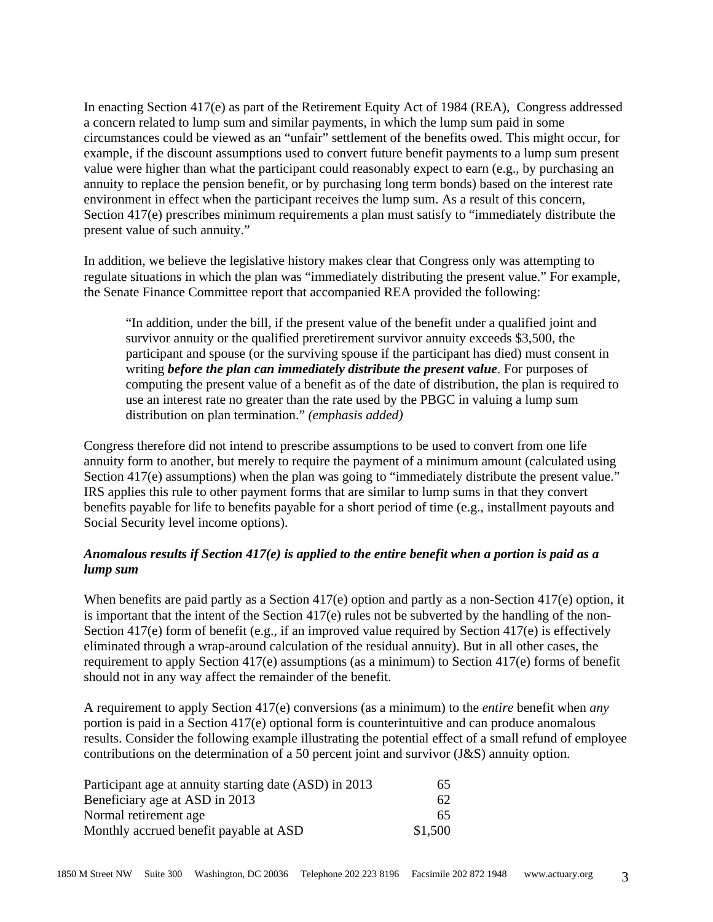In enacting Section 417(e) as part of the Retirement Equity Act of 1984 (REA), Congress addressed a concern related to lump sum and similar payments, in which the lump sum paid in some circumstances could be viewed as an "unfair" settlement of the benefits owed. This might occur, for example, if the discount assumptions used to convert future benefit payments to a lump sum present value were higher than what the participant could reasonably expect to earn (e.g., by purchasing an annuity to replace the pension benefit, or by purchasing long term bonds) based on the interest rate environment in effect when the participant receives the lump sum. As a result of this concern, Section 417(e) prescribes minimum requirements a plan must satisfy to "immediately distribute the present value of such annuity."

In addition, we believe the legislative history makes clear that Congress only was attempting to regulate situations in which the plan was "immediately distributing the present value." For example, the Senate Finance Committee report that accompanied REA provided the following:

"In addition, under the bill, if the present value of the benefit under a qualified joint and survivor annuity or the qualified preretirement survivor annuity exceeds \$3,500, the participant and spouse (or the surviving spouse if the participant has died) must consent in writing *before the plan can immediately distribute the present value*. For purposes of computing the present value of a benefit as of the date of distribution, the plan is required to use an interest rate no greater than the rate used by the PBGC in valuing a lump sum distribution on plan termination." *(emphasis added)*

Congress therefore did not intend to prescribe assumptions to be used to convert from one life annuity form to another, but merely to require the payment of a minimum amount (calculated using Section 417(e) assumptions) when the plan was going to "immediately distribute the present value." IRS applies this rule to other payment forms that are similar to lump sums in that they convert benefits payable for life to benefits payable for a short period of time (e.g., installment payouts and Social Security level income options).

# *Anomalous results if Section 417(e) is applied to the entire benefit when a portion is paid as a lump sum*

When benefits are paid partly as a Section 417(e) option and partly as a non-Section 417(e) option, it is important that the intent of the Section 417(e) rules not be subverted by the handling of the non-Section 417(e) form of benefit (e.g., if an improved value required by Section 417(e) is effectively eliminated through a wrap-around calculation of the residual annuity). But in all other cases, the requirement to apply Section 417(e) assumptions (as a minimum) to Section 417(e) forms of benefit should not in any way affect the remainder of the benefit.

A requirement to apply Section 417(e) conversions (as a minimum) to the *entire* benefit when *any* portion is paid in a Section 417(e) optional form is counterintuitive and can produce anomalous results. Consider the following example illustrating the potential effect of a small refund of employee contributions on the determination of a 50 percent joint and survivor (J&S) annuity option.

| Participant age at annuity starting date (ASD) in 2013 | 65      |
|--------------------------------------------------------|---------|
| Beneficiary age at ASD in 2013                         | 62      |
| Normal retirement age                                  | 65      |
| Monthly accrued benefit payable at ASD                 | \$1,500 |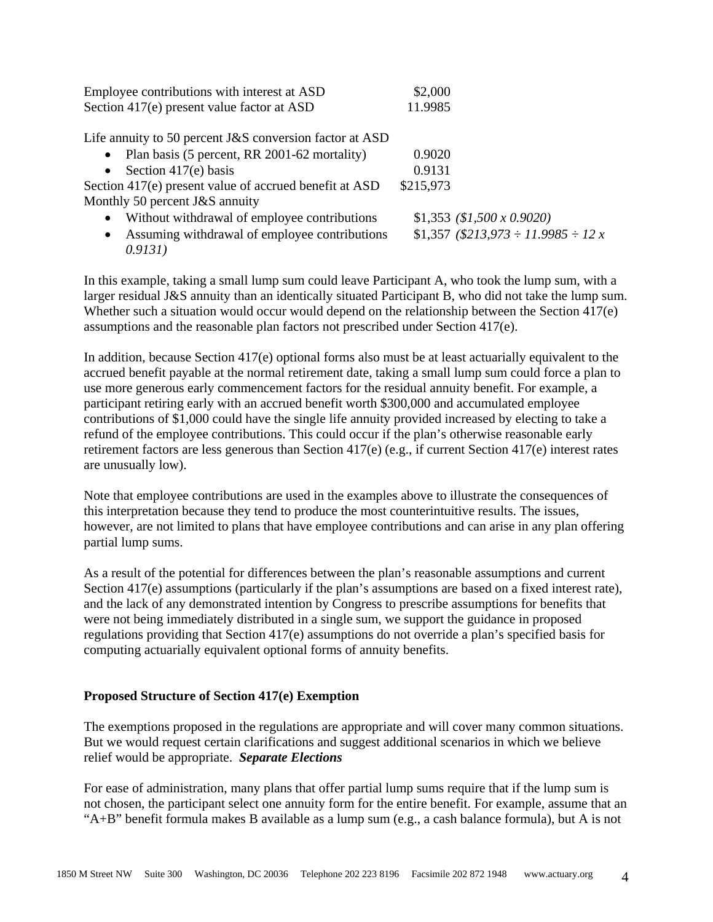| Employee contributions with interest at ASD                | \$2,000 |
|------------------------------------------------------------|---------|
| Section 417(e) present value factor at ASD                 | 11.9985 |
|                                                            |         |
| Life annuity to 50 percent $J\&S$ conversion factor at ASD |         |
| • Plan basis (5 percent, RR 2001-62 mortality)             | 0.9020  |

| • Section 417(e) basis                                 | 0.9131    |
|--------------------------------------------------------|-----------|
| Section 417(e) present value of accrued benefit at ASD | \$215,973 |
| Monthly 50 percent J&S annuity                         |           |

- Without withdrawal of employee contributions  $$1,353 ($1,500 \times 0.9020)$
- Assuming withdrawal of employee contributions  $$1,357 ($213,973 \div 11.9985 \div 12x$ *0.9131)*

In this example, taking a small lump sum could leave Participant A, who took the lump sum, with a larger residual J&S annuity than an identically situated Participant B, who did not take the lump sum. Whether such a situation would occur would depend on the relationship between the Section 417(e) assumptions and the reasonable plan factors not prescribed under Section 417(e).

In addition, because Section 417(e) optional forms also must be at least actuarially equivalent to the accrued benefit payable at the normal retirement date, taking a small lump sum could force a plan to use more generous early commencement factors for the residual annuity benefit. For example, a participant retiring early with an accrued benefit worth \$300,000 and accumulated employee contributions of \$1,000 could have the single life annuity provided increased by electing to take a refund of the employee contributions. This could occur if the plan's otherwise reasonable early retirement factors are less generous than Section 417(e) (e.g., if current Section 417(e) interest rates are unusually low).

Note that employee contributions are used in the examples above to illustrate the consequences of this interpretation because they tend to produce the most counterintuitive results. The issues, however, are not limited to plans that have employee contributions and can arise in any plan offering partial lump sums.

As a result of the potential for differences between the plan's reasonable assumptions and current Section 417(e) assumptions (particularly if the plan's assumptions are based on a fixed interest rate), and the lack of any demonstrated intention by Congress to prescribe assumptions for benefits that were not being immediately distributed in a single sum, we support the guidance in proposed regulations providing that Section 417(e) assumptions do not override a plan's specified basis for computing actuarially equivalent optional forms of annuity benefits.

## **Proposed Structure of Section 417(e) Exemption**

The exemptions proposed in the regulations are appropriate and will cover many common situations. But we would request certain clarifications and suggest additional scenarios in which we believe relief would be appropriate. *Separate Elections* 

For ease of administration, many plans that offer partial lump sums require that if the lump sum is not chosen, the participant select one annuity form for the entire benefit. For example, assume that an "A+B" benefit formula makes B available as a lump sum (e.g., a cash balance formula), but A is not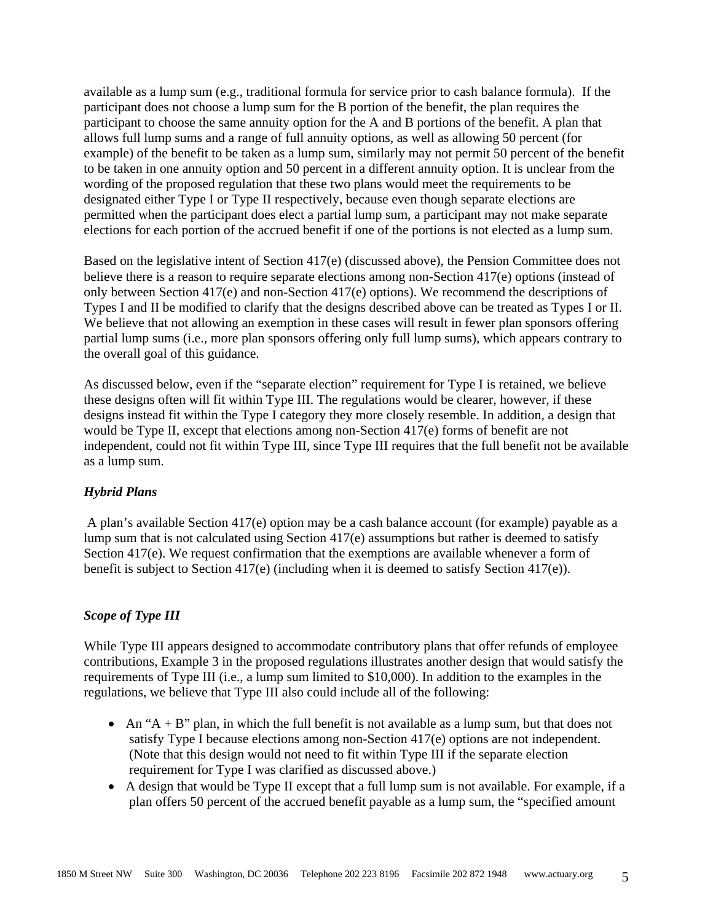available as a lump sum (e.g., traditional formula for service prior to cash balance formula). If the participant does not choose a lump sum for the B portion of the benefit, the plan requires the participant to choose the same annuity option for the A and B portions of the benefit. A plan that allows full lump sums and a range of full annuity options, as well as allowing 50 percent (for example) of the benefit to be taken as a lump sum, similarly may not permit 50 percent of the benefit to be taken in one annuity option and 50 percent in a different annuity option. It is unclear from the wording of the proposed regulation that these two plans would meet the requirements to be designated either Type I or Type II respectively, because even though separate elections are permitted when the participant does elect a partial lump sum, a participant may not make separate elections for each portion of the accrued benefit if one of the portions is not elected as a lump sum.

Based on the legislative intent of Section 417(e) (discussed above), the Pension Committee does not believe there is a reason to require separate elections among non-Section 417(e) options (instead of only between Section 417(e) and non-Section 417(e) options). We recommend the descriptions of Types I and II be modified to clarify that the designs described above can be treated as Types I or II. We believe that not allowing an exemption in these cases will result in fewer plan sponsors offering partial lump sums (i.e., more plan sponsors offering only full lump sums), which appears contrary to the overall goal of this guidance.

As discussed below, even if the "separate election" requirement for Type I is retained, we believe these designs often will fit within Type III. The regulations would be clearer, however, if these designs instead fit within the Type I category they more closely resemble. In addition, a design that would be Type II, except that elections among non-Section 417(e) forms of benefit are not independent, could not fit within Type III, since Type III requires that the full benefit not be available as a lump sum.

## *Hybrid Plans*

 A plan's available Section 417(e) option may be a cash balance account (for example) payable as a lump sum that is not calculated using Section 417(e) assumptions but rather is deemed to satisfy Section 417(e). We request confirmation that the exemptions are available whenever a form of benefit is subject to Section 417(e) (including when it is deemed to satisfy Section 417(e)).

## *Scope of Type III*

While Type III appears designed to accommodate contributory plans that offer refunds of employee contributions, Example 3 in the proposed regulations illustrates another design that would satisfy the requirements of Type III (i.e., a lump sum limited to \$10,000). In addition to the examples in the regulations, we believe that Type III also could include all of the following:

- An " $A + B$ " plan, in which the full benefit is not available as a lump sum, but that does not satisfy Type I because elections among non-Section 417(e) options are not independent. (Note that this design would not need to fit within Type III if the separate election requirement for Type I was clarified as discussed above.)
- A design that would be Type II except that a full lump sum is not available. For example, if a plan offers 50 percent of the accrued benefit payable as a lump sum, the "specified amount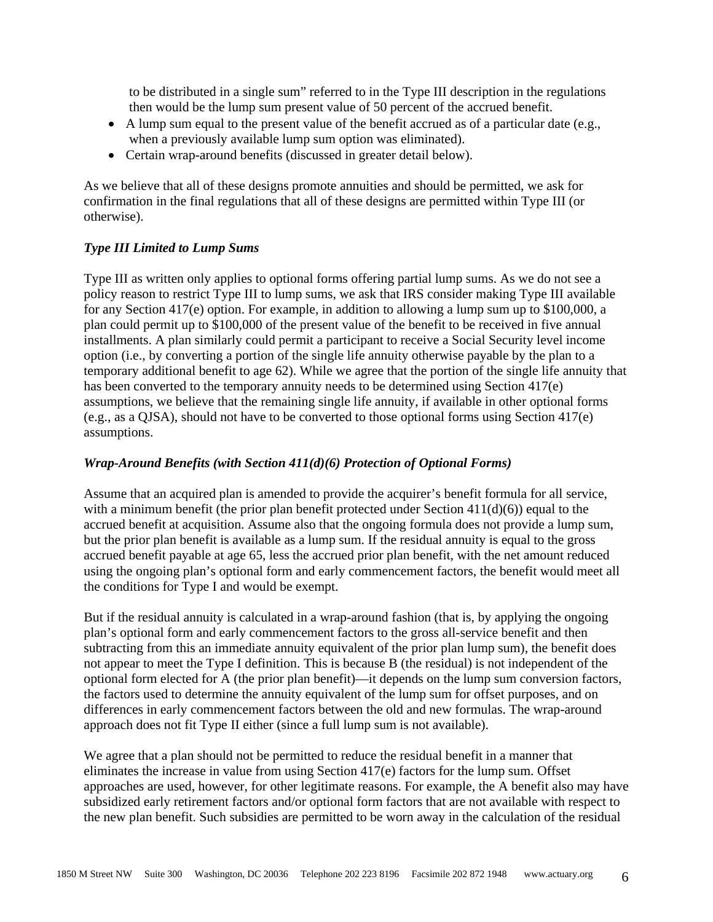to be distributed in a single sum" referred to in the Type III description in the regulations then would be the lump sum present value of 50 percent of the accrued benefit.

- A lump sum equal to the present value of the benefit accrued as of a particular date (e.g., when a previously available lump sum option was eliminated).
- Certain wrap-around benefits (discussed in greater detail below).

As we believe that all of these designs promote annuities and should be permitted, we ask for confirmation in the final regulations that all of these designs are permitted within Type III (or otherwise).

## *Type III Limited to Lump Sums*

Type III as written only applies to optional forms offering partial lump sums. As we do not see a policy reason to restrict Type III to lump sums, we ask that IRS consider making Type III available for any Section 417(e) option. For example, in addition to allowing a lump sum up to \$100,000, a plan could permit up to \$100,000 of the present value of the benefit to be received in five annual installments. A plan similarly could permit a participant to receive a Social Security level income option (i.e., by converting a portion of the single life annuity otherwise payable by the plan to a temporary additional benefit to age 62). While we agree that the portion of the single life annuity that has been converted to the temporary annuity needs to be determined using Section 417(e) assumptions, we believe that the remaining single life annuity, if available in other optional forms (e.g., as a QJSA), should not have to be converted to those optional forms using Section 417(e) assumptions.

#### *Wrap-Around Benefits (with Section 411(d)(6) Protection of Optional Forms)*

Assume that an acquired plan is amended to provide the acquirer's benefit formula for all service, with a minimum benefit (the prior plan benefit protected under Section  $411(d)(6)$ ) equal to the accrued benefit at acquisition. Assume also that the ongoing formula does not provide a lump sum, but the prior plan benefit is available as a lump sum. If the residual annuity is equal to the gross accrued benefit payable at age 65, less the accrued prior plan benefit, with the net amount reduced using the ongoing plan's optional form and early commencement factors, the benefit would meet all the conditions for Type I and would be exempt.

But if the residual annuity is calculated in a wrap-around fashion (that is, by applying the ongoing plan's optional form and early commencement factors to the gross all-service benefit and then subtracting from this an immediate annuity equivalent of the prior plan lump sum), the benefit does not appear to meet the Type I definition. This is because B (the residual) is not independent of the optional form elected for A (the prior plan benefit)—it depends on the lump sum conversion factors, the factors used to determine the annuity equivalent of the lump sum for offset purposes, and on differences in early commencement factors between the old and new formulas. The wrap-around approach does not fit Type II either (since a full lump sum is not available).

We agree that a plan should not be permitted to reduce the residual benefit in a manner that eliminates the increase in value from using Section 417(e) factors for the lump sum. Offset approaches are used, however, for other legitimate reasons. For example, the A benefit also may have subsidized early retirement factors and/or optional form factors that are not available with respect to the new plan benefit. Such subsidies are permitted to be worn away in the calculation of the residual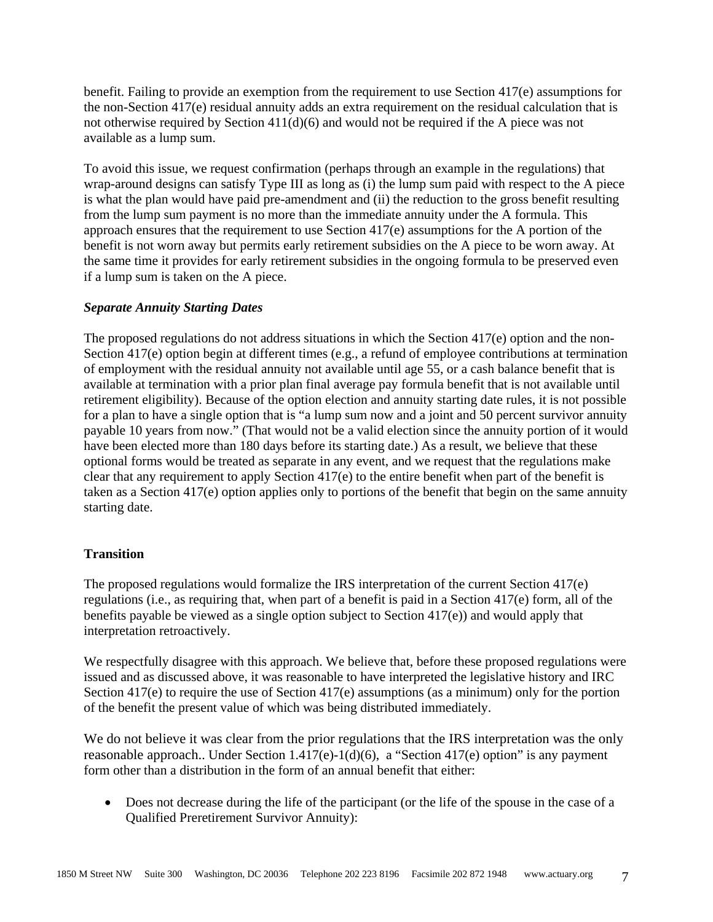benefit. Failing to provide an exemption from the requirement to use Section 417(e) assumptions for the non-Section 417(e) residual annuity adds an extra requirement on the residual calculation that is not otherwise required by Section 411(d)(6) and would not be required if the A piece was not available as a lump sum.

To avoid this issue, we request confirmation (perhaps through an example in the regulations) that wrap-around designs can satisfy Type III as long as (i) the lump sum paid with respect to the A piece is what the plan would have paid pre-amendment and (ii) the reduction to the gross benefit resulting from the lump sum payment is no more than the immediate annuity under the A formula. This approach ensures that the requirement to use Section 417(e) assumptions for the A portion of the benefit is not worn away but permits early retirement subsidies on the A piece to be worn away. At the same time it provides for early retirement subsidies in the ongoing formula to be preserved even if a lump sum is taken on the A piece.

## *Separate Annuity Starting Dates*

The proposed regulations do not address situations in which the Section 417(e) option and the non-Section 417(e) option begin at different times (e.g., a refund of employee contributions at termination of employment with the residual annuity not available until age 55, or a cash balance benefit that is available at termination with a prior plan final average pay formula benefit that is not available until retirement eligibility). Because of the option election and annuity starting date rules, it is not possible for a plan to have a single option that is "a lump sum now and a joint and 50 percent survivor annuity payable 10 years from now." (That would not be a valid election since the annuity portion of it would have been elected more than 180 days before its starting date.) As a result, we believe that these optional forms would be treated as separate in any event, and we request that the regulations make clear that any requirement to apply Section 417(e) to the entire benefit when part of the benefit is taken as a Section 417(e) option applies only to portions of the benefit that begin on the same annuity starting date.

## **Transition**

The proposed regulations would formalize the IRS interpretation of the current Section 417(e) regulations (i.e., as requiring that, when part of a benefit is paid in a Section 417(e) form, all of the benefits payable be viewed as a single option subject to Section 417(e)) and would apply that interpretation retroactively.

We respectfully disagree with this approach. We believe that, before these proposed regulations were issued and as discussed above, it was reasonable to have interpreted the legislative history and IRC Section 417(e) to require the use of Section 417(e) assumptions (as a minimum) only for the portion of the benefit the present value of which was being distributed immediately.

We do not believe it was clear from the prior regulations that the IRS interpretation was the only reasonable approach.. Under Section 1.417(e)-1(d)(6), a "Section 417(e) option" is any payment form other than a distribution in the form of an annual benefit that either:

• Does not decrease during the life of the participant (or the life of the spouse in the case of a Qualified Preretirement Survivor Annuity):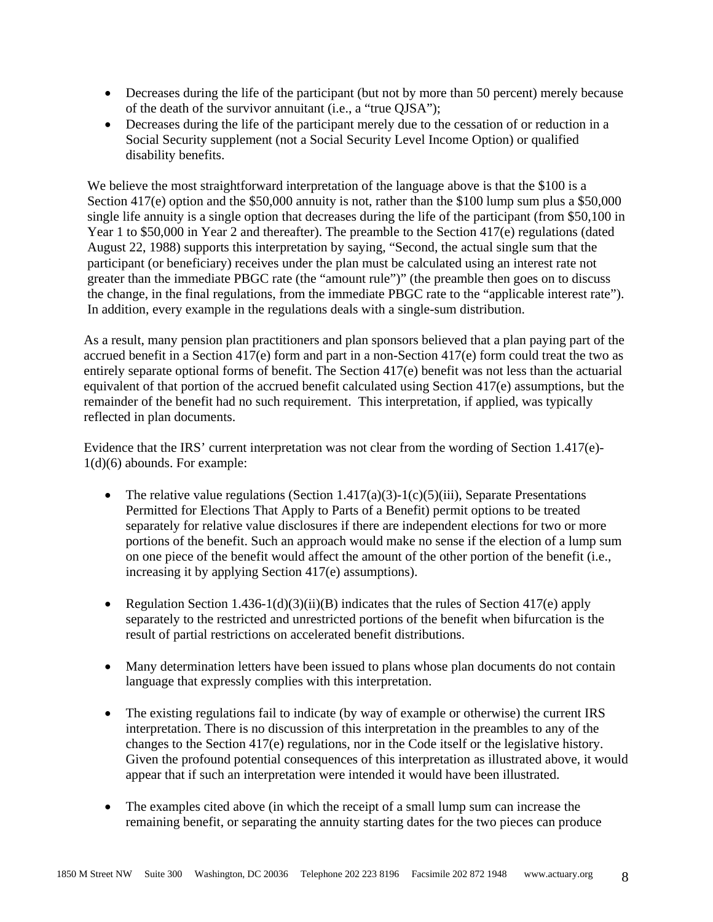- Decreases during the life of the participant (but not by more than 50 percent) merely because of the death of the survivor annuitant (i.e., a "true QJSA");
- Decreases during the life of the participant merely due to the cessation of or reduction in a Social Security supplement (not a Social Security Level Income Option) or qualified disability benefits.

We believe the most straightforward interpretation of the language above is that the \$100 is a Section 417(e) option and the \$50,000 annuity is not, rather than the \$100 lump sum plus a \$50,000 single life annuity is a single option that decreases during the life of the participant (from \$50,100 in Year 1 to \$50,000 in Year 2 and thereafter). The preamble to the Section 417(e) regulations (dated August 22, 1988) supports this interpretation by saying, "Second, the actual single sum that the participant (or beneficiary) receives under the plan must be calculated using an interest rate not greater than the immediate PBGC rate (the "amount rule")" (the preamble then goes on to discuss the change, in the final regulations, from the immediate PBGC rate to the "applicable interest rate"). In addition, every example in the regulations deals with a single-sum distribution.

As a result, many pension plan practitioners and plan sponsors believed that a plan paying part of the accrued benefit in a Section 417(e) form and part in a non-Section 417(e) form could treat the two as entirely separate optional forms of benefit. The Section 417(e) benefit was not less than the actuarial equivalent of that portion of the accrued benefit calculated using Section 417(e) assumptions, but the remainder of the benefit had no such requirement. This interpretation, if applied, was typically reflected in plan documents.

Evidence that the IRS' current interpretation was not clear from the wording of Section 1.417(e)- 1(d)(6) abounds. For example:

- The relative value regulations (Section 1.417(a)(3)-1(c)(5)(iii), Separate Presentations Permitted for Elections That Apply to Parts of a Benefit) permit options to be treated separately for relative value disclosures if there are independent elections for two or more portions of the benefit. Such an approach would make no sense if the election of a lump sum on one piece of the benefit would affect the amount of the other portion of the benefit (i.e., increasing it by applying Section 417(e) assumptions).
- Regulation Section 1.436-1(d)(3)(ii)(B) indicates that the rules of Section 417(e) apply separately to the restricted and unrestricted portions of the benefit when bifurcation is the result of partial restrictions on accelerated benefit distributions.
- Many determination letters have been issued to plans whose plan documents do not contain language that expressly complies with this interpretation.
- The existing regulations fail to indicate (by way of example or otherwise) the current IRS interpretation. There is no discussion of this interpretation in the preambles to any of the changes to the Section 417(e) regulations, nor in the Code itself or the legislative history. Given the profound potential consequences of this interpretation as illustrated above, it would appear that if such an interpretation were intended it would have been illustrated.
- The examples cited above (in which the receipt of a small lump sum can increase the remaining benefit, or separating the annuity starting dates for the two pieces can produce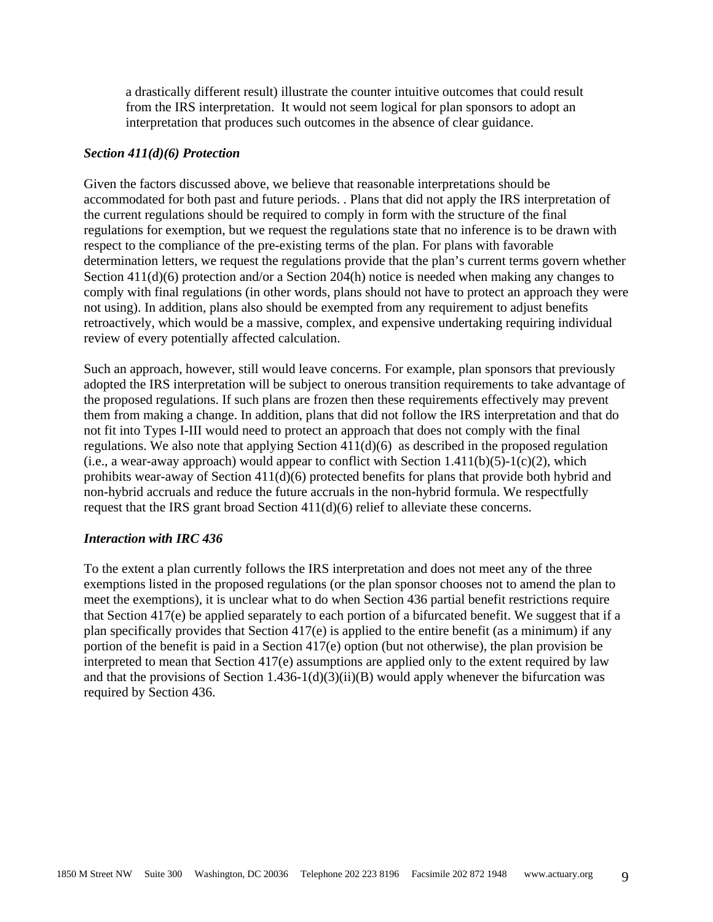a drastically different result) illustrate the counter intuitive outcomes that could result from the IRS interpretation. It would not seem logical for plan sponsors to adopt an interpretation that produces such outcomes in the absence of clear guidance.

#### *Section 411(d)(6) Protection*

Given the factors discussed above, we believe that reasonable interpretations should be accommodated for both past and future periods. . Plans that did not apply the IRS interpretation of the current regulations should be required to comply in form with the structure of the final regulations for exemption, but we request the regulations state that no inference is to be drawn with respect to the compliance of the pre-existing terms of the plan. For plans with favorable determination letters, we request the regulations provide that the plan's current terms govern whether Section 411(d)(6) protection and/or a Section 204(h) notice is needed when making any changes to comply with final regulations (in other words, plans should not have to protect an approach they were not using). In addition, plans also should be exempted from any requirement to adjust benefits retroactively, which would be a massive, complex, and expensive undertaking requiring individual review of every potentially affected calculation.

Such an approach, however, still would leave concerns. For example, plan sponsors that previously adopted the IRS interpretation will be subject to onerous transition requirements to take advantage of the proposed regulations. If such plans are frozen then these requirements effectively may prevent them from making a change. In addition, plans that did not follow the IRS interpretation and that do not fit into Types I-III would need to protect an approach that does not comply with the final regulations. We also note that applying Section  $411(d)(6)$  as described in the proposed regulation (i.e., a wear-away approach) would appear to conflict with Section  $1.411(b)(5)-1(c)(2)$ , which prohibits wear-away of Section 411(d)(6) protected benefits for plans that provide both hybrid and non-hybrid accruals and reduce the future accruals in the non-hybrid formula. We respectfully request that the IRS grant broad Section 411(d)(6) relief to alleviate these concerns.

## *Interaction with IRC 436*

To the extent a plan currently follows the IRS interpretation and does not meet any of the three exemptions listed in the proposed regulations (or the plan sponsor chooses not to amend the plan to meet the exemptions), it is unclear what to do when Section 436 partial benefit restrictions require that Section 417(e) be applied separately to each portion of a bifurcated benefit. We suggest that if a plan specifically provides that Section 417(e) is applied to the entire benefit (as a minimum) if any portion of the benefit is paid in a Section 417(e) option (but not otherwise), the plan provision be interpreted to mean that Section 417(e) assumptions are applied only to the extent required by law and that the provisions of Section 1.436-1(d)(3)(ii)(B) would apply whenever the bifurcation was required by Section 436.